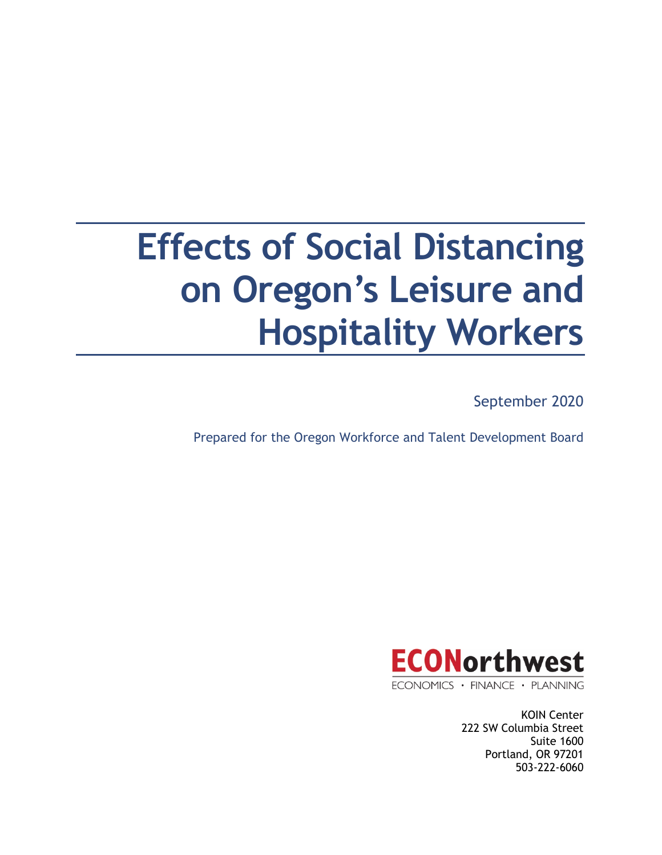# **Effects of Social Distancing on Oregon's Leisure and Hospitality Workers**

September 2020

Prepared for the Oregon Workforce and Talent Development Board



ECONOMICS · FINANCE · PLANNING

KOIN Center 222 SW Columbia Street Suite 1600 Portland, OR 97201 503-222-6060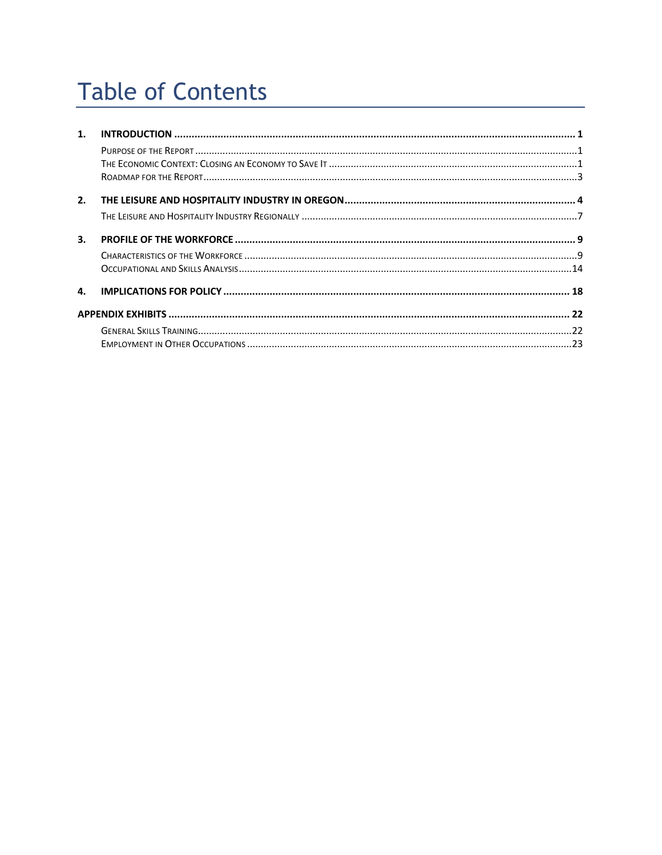# **Table of Contents**

| 1. |  |
|----|--|
|    |  |
|    |  |
|    |  |
| 2. |  |
|    |  |
| 3. |  |
|    |  |
|    |  |
| 4. |  |
|    |  |
|    |  |
|    |  |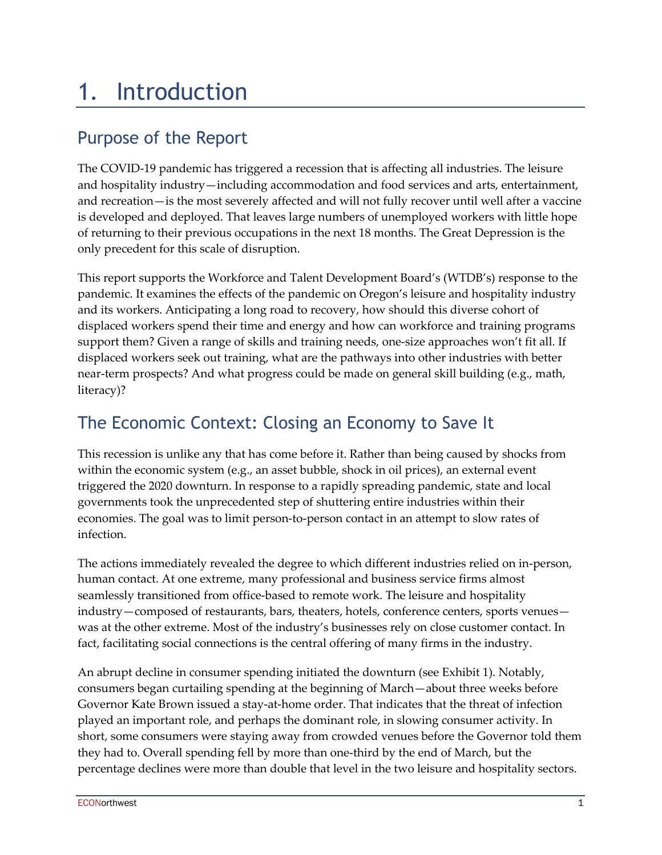### 1. Introduction

### Purpose of the Report

The COVID-19 pandemic has triggered a recession that is affecting all industries. The leisure and hospitality industry—including accommodation and food services and arts, entertainment, and recreation—is the most severely affected and will not fully recover until well after a vaccine is developed and deployed. That leaves large numbers of unemployed workers with little hope of returning to their previous occupations in the next 18 months. The Great Depression is the only precedent for this scale of disruption.

This report supports the Workforce and Talent Development Board's (WTDB's) response to the pandemic. It examines the effects of the pandemic on Oregon's leisure and hospitality industry and its workers. Anticipating a long road to recovery, how should this diverse cohort of displaced workers spend their time and energy and how can workforce and training programs support them? Given a range of skills and training needs, one-size approaches won't fit all. If displaced workers seek out training, what are the pathways into other industries with better near-term prospects? And what progress could be made on general skill building (e.g., math, literacy)?

### The Economic Context: Closing an Economy to Save It

This recession is unlike any that has come before it. Rather than being caused by shocks from within the economic system (e.g., an asset bubble, shock in oil prices), an external event triggered the 2020 downturn. In response to a rapidly spreading pandemic, state and local governments took the unprecedented step of shuttering entire industries within their economies. The goal was to limit person-to-person contact in an attempt to slow rates of infection.

The actions immediately revealed the degree to which different industries relied on in-person, human contact. At one extreme, many professional and business service firms almost seamlessly transitioned from office-based to remote work. The leisure and hospitality industry—composed of restaurants, bars, theaters, hotels, conference centers, sports venues was at the other extreme. Most of the industry's businesses rely on close customer contact. In fact, facilitating social connections is the central offering of many firms in the industry.

An abrupt decline in consumer spending initiated the downturn (see Exhibit 1). Notably, consumers began curtailing spending at the beginning of March—about three weeks before Governor Kate Brown issued a stay-at-home order. That indicates that the threat of infection played an important role, and perhaps the dominant role, in slowing consumer activity. In short, some consumers were staying away from crowded venues before the Governor told them they had to. Overall spending fell by more than one-third by the end of March, but the percentage declines were more than double that level in the two leisure and hospitality sectors.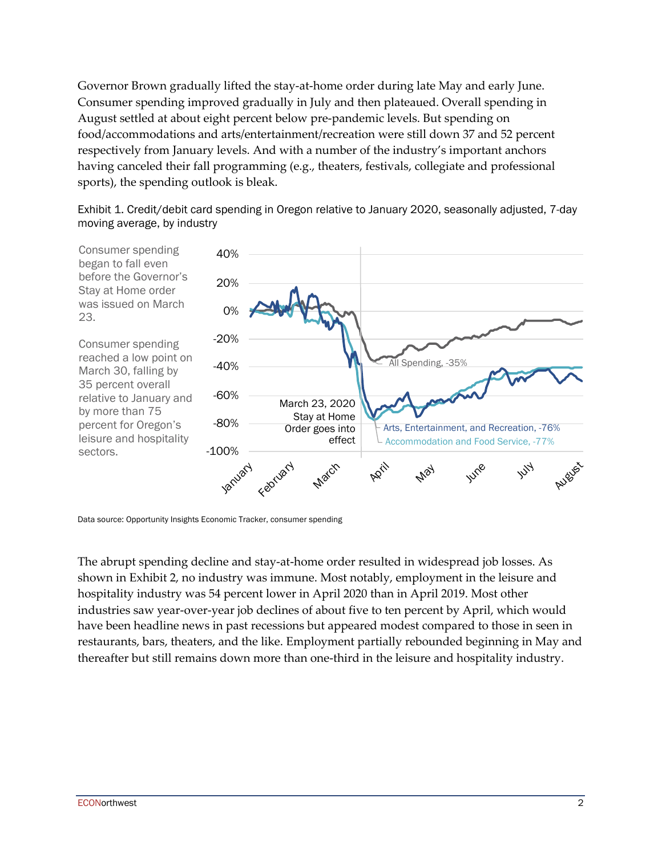Governor Brown gradually lifted the stay-at-home order during late May and early June. Consumer spending improved gradually in July and then plateaued. Overall spending in August settled at about eight percent below pre-pandemic levels. But spending on food/accommodations and arts/entertainment/recreation were still down 37 and 52 percent respectively from January levels. And with a number of the industry's important anchors having canceled their fall programming (e.g., theaters, festivals, collegiate and professional sports), the spending outlook is bleak.

Exhibit 1. Credit/debit card spending in Oregon relative to January 2020, seasonally adjusted, 7-day moving average, by industry



Data source: Opportunity Insights Economic Tracker, consumer spending

The abrupt spending decline and stay-at-home order resulted in widespread job losses. As shown in Exhibit 2, no industry was immune. Most notably, employment in the leisure and hospitality industry was 54 percent lower in April 2020 than in April 2019. Most other industries saw year-over-year job declines of about five to ten percent by April, which would have been headline news in past recessions but appeared modest compared to those in seen in restaurants, bars, theaters, and the like. Employment partially rebounded beginning in May and thereafter but still remains down more than one-third in the leisure and hospitality industry.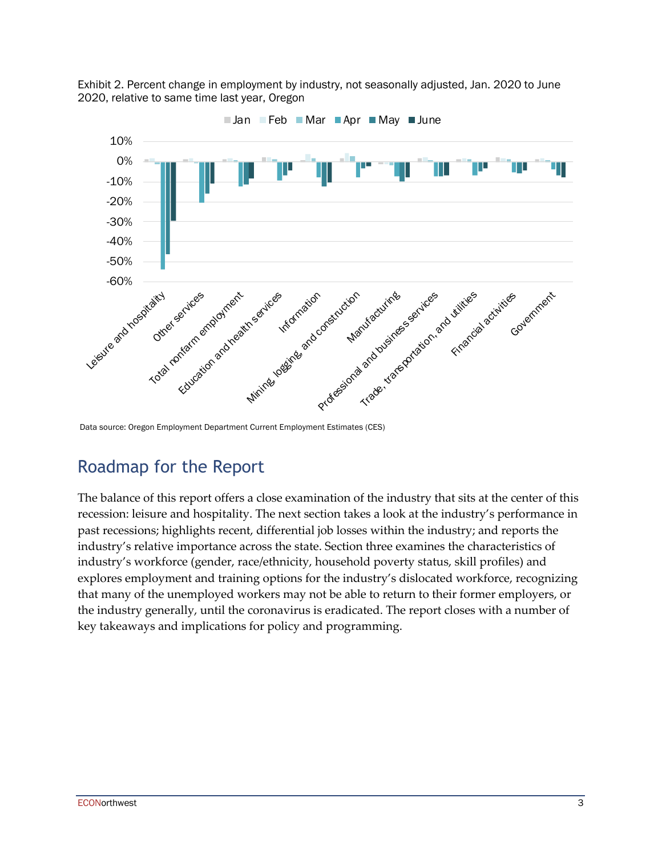

Exhibit 2. Percent change in employment by industry, not seasonally adjusted, Jan. 2020 to June 2020, relative to same time last year, Oregon

Data source: Oregon Employment Department Current Employment Estimates (CES)

#### Roadmap for the Report

The balance of this report offers a close examination of the industry that sits at the center of this recession: leisure and hospitality. The next section takes a look at the industry's performance in past recessions; highlights recent, differential job losses within the industry; and reports the industry's relative importance across the state. Section three examines the characteristics of industry's workforce (gender, race/ethnicity, household poverty status, skill profiles) and explores employment and training options for the industry's dislocated workforce, recognizing that many of the unemployed workers may not be able to return to their former employers, or the industry generally, until the coronavirus is eradicated. The report closes with a number of key takeaways and implications for policy and programming.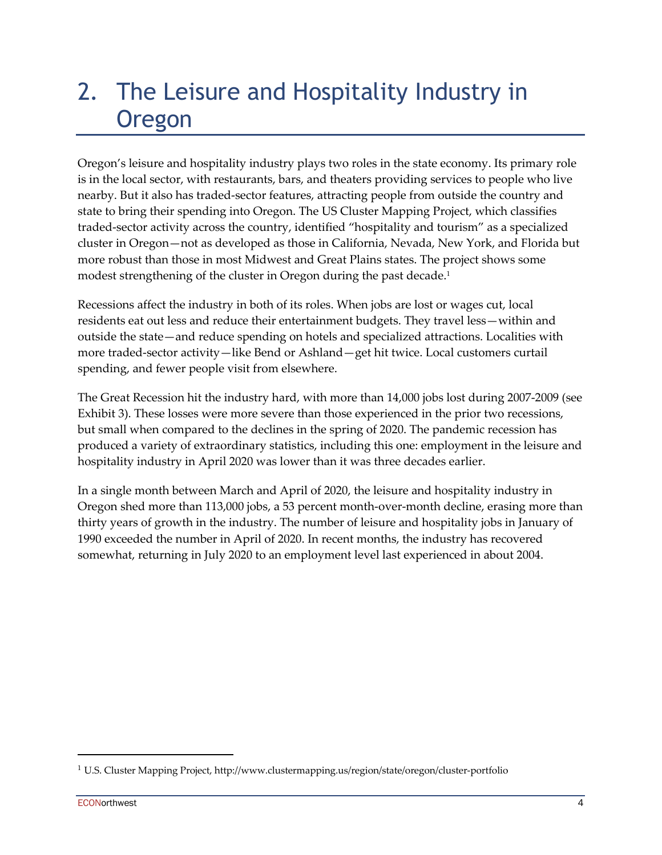### 2. The Leisure and Hospitality Industry in Oregon

Oregon's leisure and hospitality industry plays two roles in the state economy. Its primary role is in the local sector, with restaurants, bars, and theaters providing services to people who live nearby. But it also has traded-sector features, attracting people from outside the country and state to bring their spending into Oregon. The US Cluster Mapping Project, which classifies traded-sector activity across the country, identified "hospitality and tourism" as a specialized cluster in Oregon—not as developed as those in California, Nevada, New York, and Florida but more robust than those in most Midwest and Great Plains states. The project shows some modest strengthening of the cluster in Oregon during the past decade. 1

Recessions affect the industry in both of its roles. When jobs are lost or wages cut, local residents eat out less and reduce their entertainment budgets. They travel less—within and outside the state—and reduce spending on hotels and specialized attractions. Localities with more traded-sector activity—like Bend or Ashland—get hit twice. Local customers curtail spending, and fewer people visit from elsewhere.

The Great Recession hit the industry hard, with more than 14,000 jobs lost during 2007-2009 (see Exhibit 3). These losses were more severe than those experienced in the prior two recessions, but small when compared to the declines in the spring of 2020. The pandemic recession has produced a variety of extraordinary statistics, including this one: employment in the leisure and hospitality industry in April 2020 was lower than it was three decades earlier.

In a single month between March and April of 2020, the leisure and hospitality industry in Oregon shed more than 113,000 jobs, a 53 percent month-over-month decline, erasing more than thirty years of growth in the industry. The number of leisure and hospitality jobs in January of 1990 exceeded the number in April of 2020. In recent months, the industry has recovered somewhat, returning in July 2020 to an employment level last experienced in about 2004.

<sup>1</sup> U.S. Cluster Mapping Project, http://www.clustermapping.us/region/state/oregon/cluster-portfolio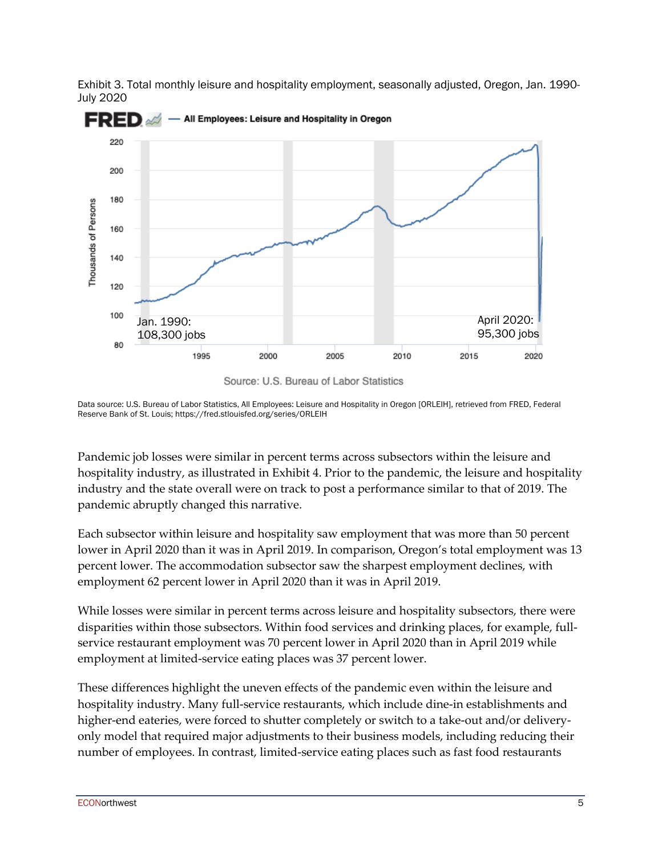

Exhibit 3. Total monthly leisure and hospitality employment, seasonally adjusted, Oregon, Jan. 1990- July 2020

Source: U.S. Bureau of Labor Statistics

Data source: U.S. Bureau of Labor Statistics, All Employees: Leisure and Hospitality in Oregon [ORLEIH], retrieved from FRED, Federal Reserve Bank of St. Louis; https://fred.stlouisfed.org/series/ORLEIH

Pandemic job losses were similar in percent terms across subsectors within the leisure and hospitality industry, as illustrated in Exhibit 4. Prior to the pandemic, the leisure and hospitality industry and the state overall were on track to post a performance similar to that of 2019. The pandemic abruptly changed this narrative.

Each subsector within leisure and hospitality saw employment that was more than 50 percent lower in April 2020 than it was in April 2019. In comparison, Oregon's total employment was 13 percent lower. The accommodation subsector saw the sharpest employment declines, with employment 62 percent lower in April 2020 than it was in April 2019.

While losses were similar in percent terms across leisure and hospitality subsectors, there were disparities within those subsectors. Within food services and drinking places, for example, fullservice restaurant employment was 70 percent lower in April 2020 than in April 2019 while employment at limited-service eating places was 37 percent lower.

These differences highlight the uneven effects of the pandemic even within the leisure and hospitality industry. Many full-service restaurants, which include dine-in establishments and higher-end eateries, were forced to shutter completely or switch to a take-out and/or deliveryonly model that required major adjustments to their business models, including reducing their number of employees. In contrast, limited-service eating places such as fast food restaurants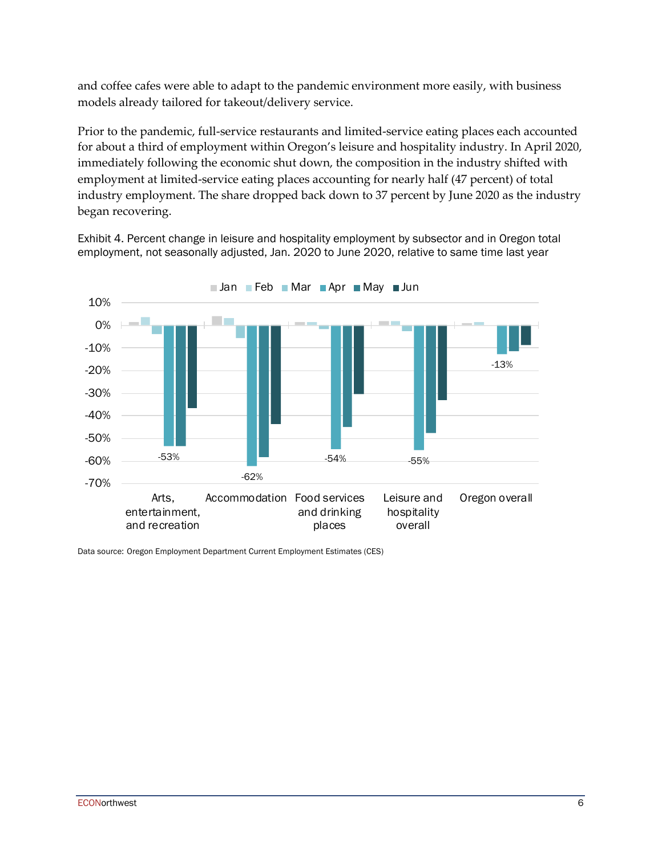and coffee cafes were able to adapt to the pandemic environment more easily, with business models already tailored for takeout/delivery service.

Prior to the pandemic, full-service restaurants and limited-service eating places each accounted for about a third of employment within Oregon's leisure and hospitality industry. In April 2020, immediately following the economic shut down, the composition in the industry shifted with employment at limited-service eating places accounting for nearly half (47 percent) of total industry employment. The share dropped back down to 37 percent by June 2020 as the industry began recovering.

Exhibit 4. Percent change in leisure and hospitality employment by subsector and in Oregon total employment, not seasonally adjusted, Jan. 2020 to June 2020, relative to same time last year



Data source: Oregon Employment Department Current Employment Estimates (CES)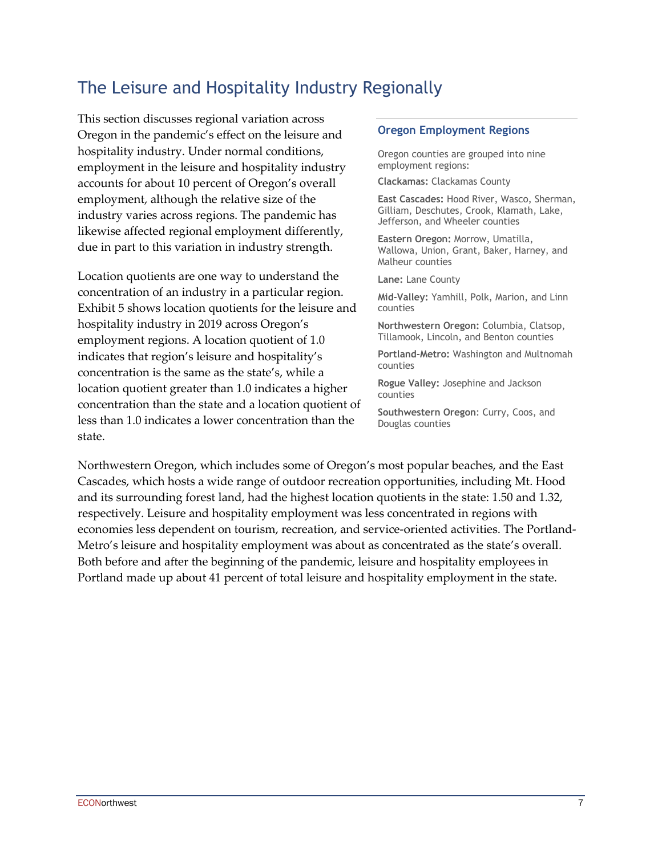#### The Leisure and Hospitality Industry Regionally

This section discusses regional variation across Oregon in the pandemic's effect on the leisure and hospitality industry. Under normal conditions, employment in the leisure and hospitality industry accounts for about 10 percent of Oregon's overall employment, although the relative size of the industry varies across regions. The pandemic has likewise affected regional employment differently, due in part to this variation in industry strength.

Location quotients are one way to understand the concentration of an industry in a particular region. Exhibit 5 shows location quotients for the leisure and hospitality industry in 2019 across Oregon's employment regions. A location quotient of 1.0 indicates that region's leisure and hospitality's concentration is the same as the state's, while a location quotient greater than 1.0 indicates a higher concentration than the state and a location quotient of less than 1.0 indicates a lower concentration than the state.

#### **Oregon Employment Regions**

Oregon counties are grouped into nine employment regions:

**Clackamas:** Clackamas County

**East Cascades:** Hood River, Wasco, Sherman, Gilliam, Deschutes, Crook, Klamath, Lake, Jefferson, and Wheeler counties

**Eastern Oregon:** Morrow, Umatilla, Wallowa, Union, Grant, Baker, Harney, and Malheur counties

**Lane:** Lane County

**Mid-Valley:** Yamhill, Polk, Marion, and Linn counties

**Northwestern Oregon:** Columbia, Clatsop, Tillamook, Lincoln, and Benton counties

**Portland-Metro:** Washington and Multnomah counties

**Rogue Valley:** Josephine and Jackson counties

**Southwestern Oregon**: Curry, Coos, and Douglas counties

Northwestern Oregon, which includes some of Oregon's most popular beaches, and the East Cascades, which hosts a wide range of outdoor recreation opportunities, including Mt. Hood and its surrounding forest land, had the highest location quotients in the state: 1.50 and 1.32, respectively. Leisure and hospitality employment was less concentrated in regions with economies less dependent on tourism, recreation, and service-oriented activities. The Portland-Metro's leisure and hospitality employment was about as concentrated as the state's overall. Both before and after the beginning of the pandemic, leisure and hospitality employees in Portland made up about 41 percent of total leisure and hospitality employment in the state.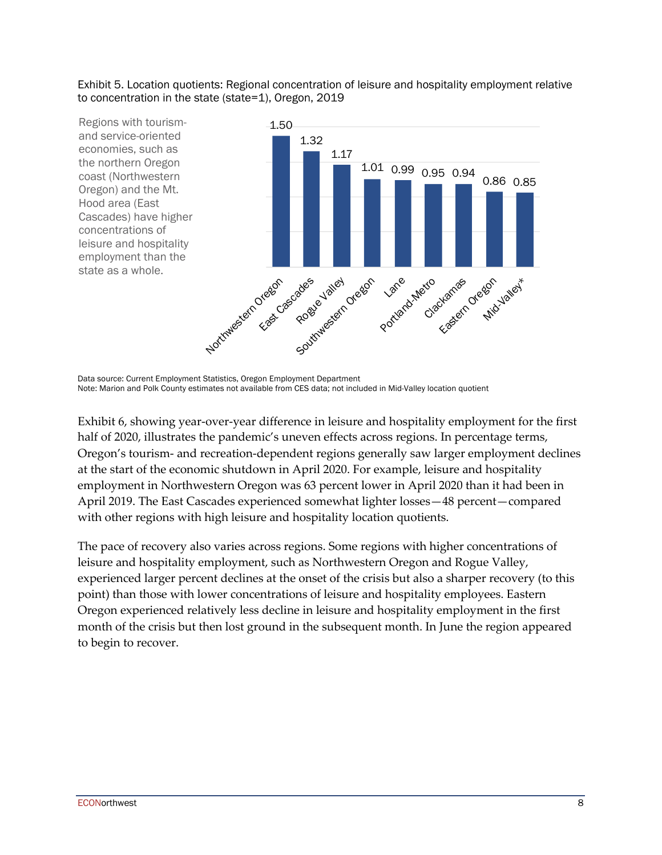Exhibit 5. Location quotients: Regional concentration of leisure and hospitality employment relative to concentration in the state (state=1), Oregon, 2019



Data source: Current Employment Statistics, Oregon Employment Department Note: Marion and Polk County estimates not available from CES data; not included in Mid-Valley location quotient

Exhibit 6, showing year-over-year difference in leisure and hospitality employment for the first half of 2020, illustrates the pandemic's uneven effects across regions. In percentage terms, Oregon's tourism- and recreation-dependent regions generally saw larger employment declines at the start of the economic shutdown in April 2020. For example, leisure and hospitality employment in Northwestern Oregon was 63 percent lower in April 2020 than it had been in April 2019. The East Cascades experienced somewhat lighter losses—48 percent—compared with other regions with high leisure and hospitality location quotients.

The pace of recovery also varies across regions. Some regions with higher concentrations of leisure and hospitality employment, such as Northwestern Oregon and Rogue Valley, experienced larger percent declines at the onset of the crisis but also a sharper recovery (to this point) than those with lower concentrations of leisure and hospitality employees. Eastern Oregon experienced relatively less decline in leisure and hospitality employment in the first month of the crisis but then lost ground in the subsequent month. In June the region appeared to begin to recover.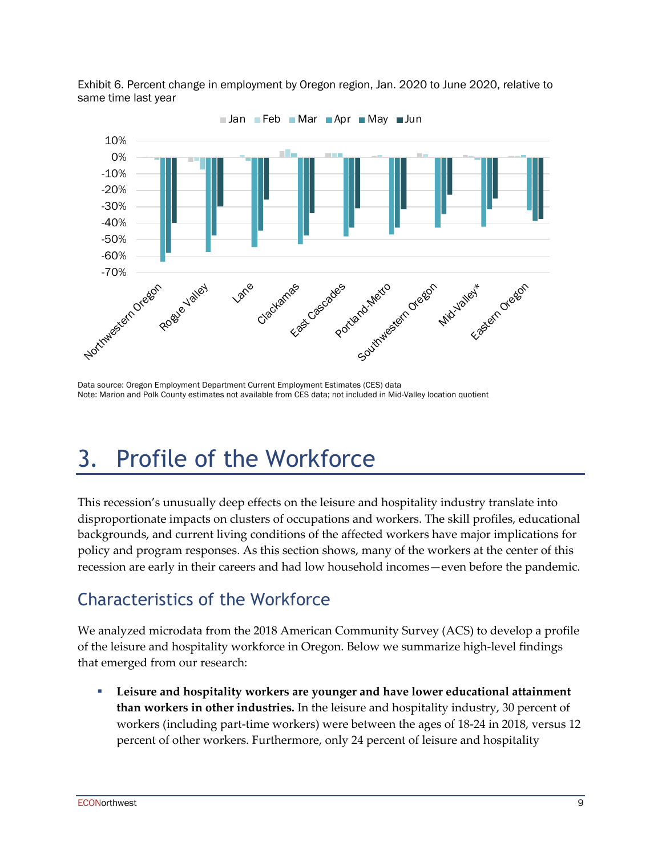Exhibit 6. Percent change in employment by Oregon region, Jan. 2020 to June 2020, relative to same time last year



Data source: Oregon Employment Department Current Employment Estimates (CES) data Note: Marion and Polk County estimates not available from CES data; not included in Mid-Valley location quotient

### 3. Profile of the Workforce

This recession's unusually deep effects on the leisure and hospitality industry translate into disproportionate impacts on clusters of occupations and workers. The skill profiles, educational backgrounds, and current living conditions of the affected workers have major implications for policy and program responses. As this section shows, many of the workers at the center of this recession are early in their careers and had low household incomes—even before the pandemic.

### Characteristics of the Workforce

We analyzed microdata from the 2018 American Community Survey (ACS) to develop a profile of the leisure and hospitality workforce in Oregon. Below we summarize high-level findings that emerged from our research:

§ **Leisure and hospitality workers are younger and have lower educational attainment than workers in other industries.** In the leisure and hospitality industry, 30 percent of workers (including part-time workers) were between the ages of 18-24 in 2018, versus 12 percent of other workers. Furthermore, only 24 percent of leisure and hospitality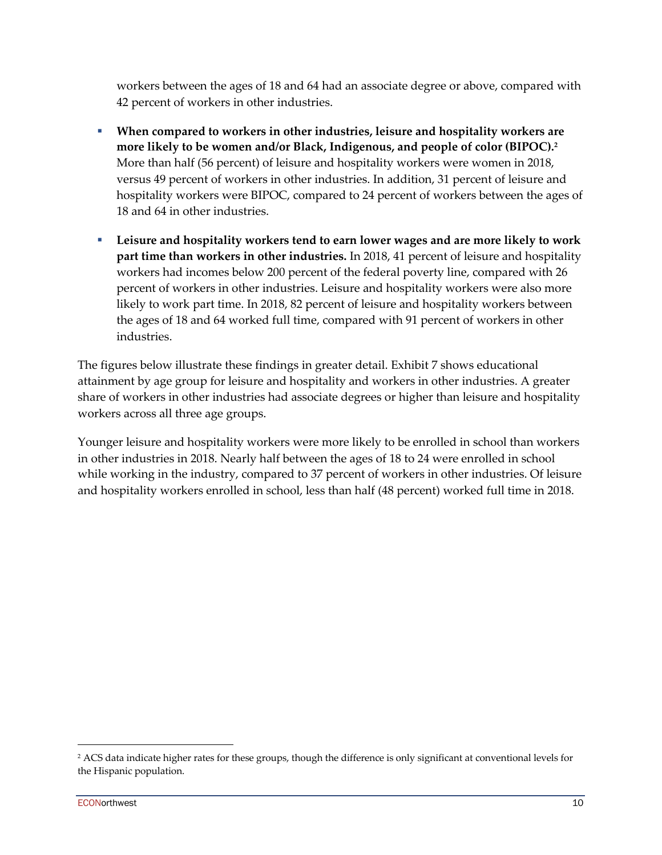workers between the ages of 18 and 64 had an associate degree or above, compared with 42 percent of workers in other industries.

- § **When compared to workers in other industries, leisure and hospitality workers are more likely to be women and/or Black, Indigenous, and people of color (BIPOC). 2** More than half (56 percent) of leisure and hospitality workers were women in 2018, versus 49 percent of workers in other industries. In addition, 31 percent of leisure and hospitality workers were BIPOC, compared to 24 percent of workers between the ages of 18 and 64 in other industries.
- § **Leisure and hospitality workers tend to earn lower wages and are more likely to work part time than workers in other industries.** In 2018, 41 percent of leisure and hospitality workers had incomes below 200 percent of the federal poverty line, compared with 26 percent of workers in other industries. Leisure and hospitality workers were also more likely to work part time. In 2018, 82 percent of leisure and hospitality workers between the ages of 18 and 64 worked full time, compared with 91 percent of workers in other industries.

The figures below illustrate these findings in greater detail. Exhibit 7 shows educational attainment by age group for leisure and hospitality and workers in other industries. A greater share of workers in other industries had associate degrees or higher than leisure and hospitality workers across all three age groups.

Younger leisure and hospitality workers were more likely to be enrolled in school than workers in other industries in 2018. Nearly half between the ages of 18 to 24 were enrolled in school while working in the industry, compared to 37 percent of workers in other industries. Of leisure and hospitality workers enrolled in school, less than half (48 percent) worked full time in 2018.

<sup>&</sup>lt;sup>2</sup> ACS data indicate higher rates for these groups, though the difference is only significant at conventional levels for the Hispanic population.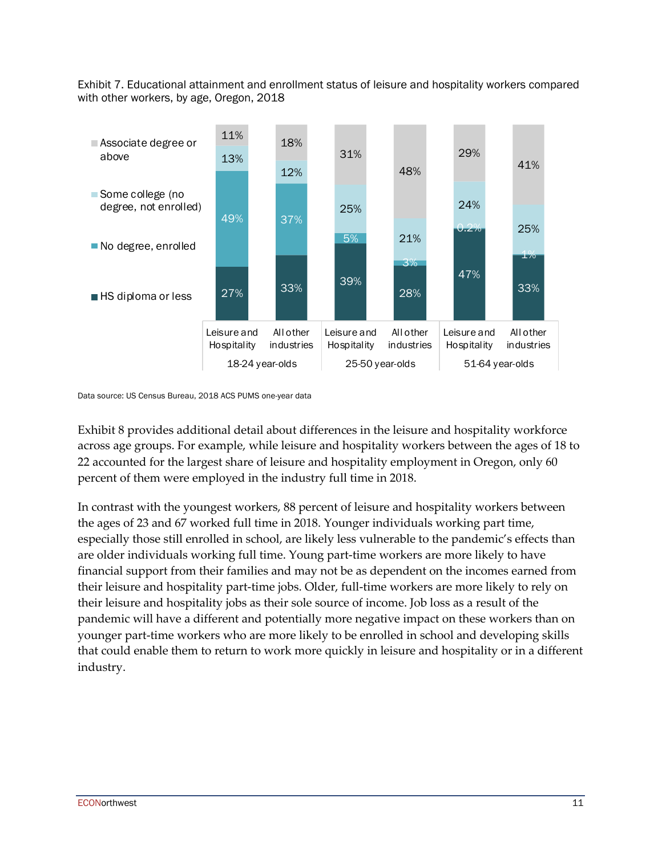Exhibit 7. Educational attainment and enrollment status of leisure and hospitality workers compared with other workers, by age, Oregon, 2018



Data source: US Census Bureau, 2018 ACS PUMS one-year data

Exhibit 8 provides additional detail about differences in the leisure and hospitality workforce across age groups. For example, while leisure and hospitality workers between the ages of 18 to 22 accounted for the largest share of leisure and hospitality employment in Oregon, only 60 percent of them were employed in the industry full time in 2018.

In contrast with the youngest workers, 88 percent of leisure and hospitality workers between the ages of 23 and 67 worked full time in 2018. Younger individuals working part time, especially those still enrolled in school, are likely less vulnerable to the pandemic's effects than are older individuals working full time. Young part-time workers are more likely to have financial support from their families and may not be as dependent on the incomes earned from their leisure and hospitality part-time jobs. Older, full-time workers are more likely to rely on their leisure and hospitality jobs as their sole source of income. Job loss as a result of the pandemic will have a different and potentially more negative impact on these workers than on younger part-time workers who are more likely to be enrolled in school and developing skills that could enable them to return to work more quickly in leisure and hospitality or in a different industry.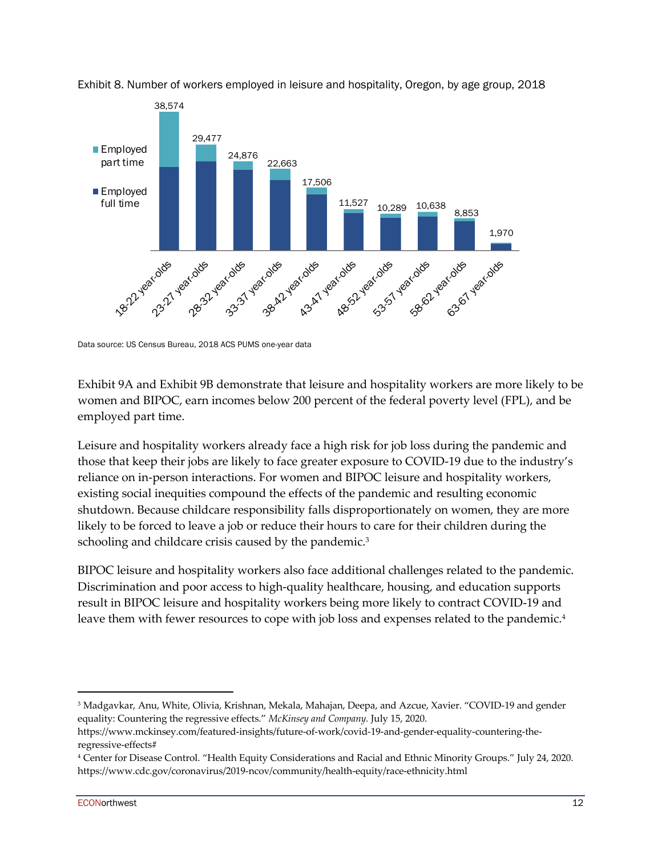

Exhibit 8. Number of workers employed in leisure and hospitality, Oregon, by age group, 2018

Exhibit 9A and Exhibit 9B demonstrate that leisure and hospitality workers are more likely to be women and BIPOC, earn incomes below 200 percent of the federal poverty level (FPL), and be employed part time.

Leisure and hospitality workers already face a high risk for job loss during the pandemic and those that keep their jobs are likely to face greater exposure to COVID-19 due to the industry's reliance on in-person interactions. For women and BIPOC leisure and hospitality workers, existing social inequities compound the effects of the pandemic and resulting economic shutdown. Because childcare responsibility falls disproportionately on women, they are more likely to be forced to leave a job or reduce their hours to care for their children during the schooling and childcare crisis caused by the pandemic.<sup>3</sup>

BIPOC leisure and hospitality workers also face additional challenges related to the pandemic. Discrimination and poor access to high-quality healthcare, housing, and education supports result in BIPOC leisure and hospitality workers being more likely to contract COVID-19 and leave them with fewer resources to cope with job loss and expenses related to the pandemic.<sup>4</sup>

Data source: US Census Bureau, 2018 ACS PUMS one-year data

<sup>3</sup> Madgavkar, Anu, White, Olivia, Krishnan, Mekala, Mahajan, Deepa, and Azcue, Xavier. "COVID-19 and gender equality: Countering the regressive effects." *McKinsey and Company.* July 15, 2020.

https://www.mckinsey.com/featured-insights/future-of-work/covid-19-and-gender-equality-countering-theregressive-effects#

<sup>4</sup> Center for Disease Control. "Health Equity Considerations and Racial and Ethnic Minority Groups." July 24, 2020. https://www.cdc.gov/coronavirus/2019-ncov/community/health-equity/race-ethnicity.html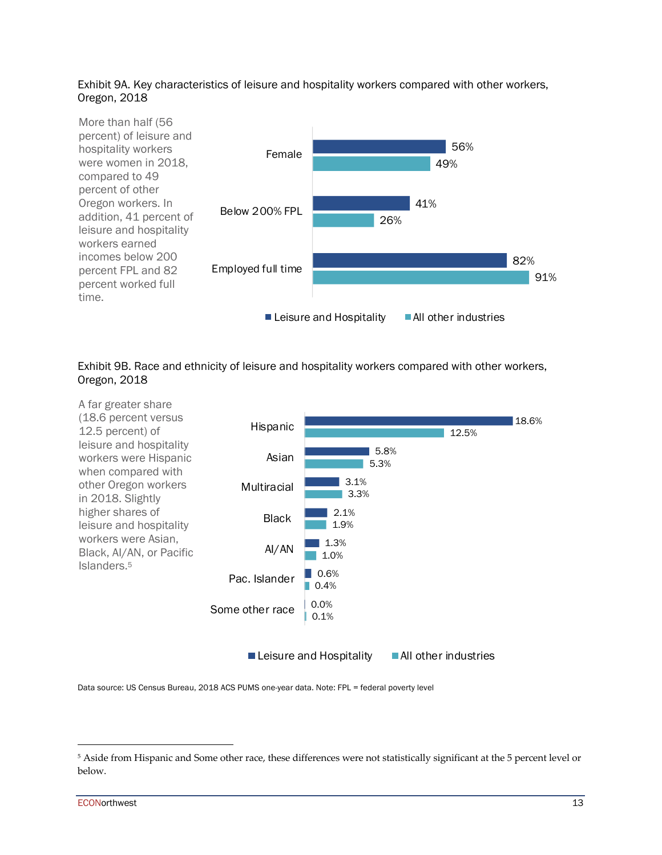#### Exhibit 9A. Key characteristics of leisure and hospitality workers compared with other workers, Oregon, 2018







Data source: US Census Bureau, 2018 ACS PUMS one-year data. Note: FPL = federal poverty level

<sup>5</sup> Aside from Hispanic and Some other race, these differences were not statistically significant at the 5 percent level or below.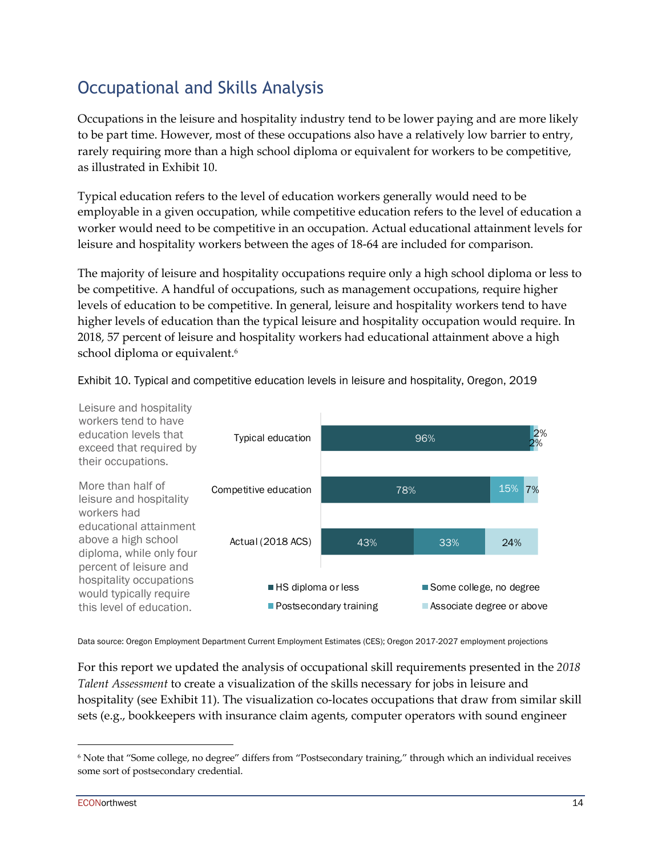### Occupational and Skills Analysis

Occupations in the leisure and hospitality industry tend to be lower paying and are more likely to be part time. However, most of these occupations also have a relatively low barrier to entry, rarely requiring more than a high school diploma or equivalent for workers to be competitive, as illustrated in Exhibit 10.

Typical education refers to the level of education workers generally would need to be employable in a given occupation, while competitive education refers to the level of education a worker would need to be competitive in an occupation. Actual educational attainment levels for leisure and hospitality workers between the ages of 18-64 are included for comparison.

The majority of leisure and hospitality occupations require only a high school diploma or less to be competitive. A handful of occupations, such as management occupations, require higher levels of education to be competitive. In general, leisure and hospitality workers tend to have higher levels of education than the typical leisure and hospitality occupation would require. In 2018, 57 percent of leisure and hospitality workers had educational attainment above a high school diploma or equivalent.<sup>6</sup>



Exhibit 10. Typical and competitive education levels in leisure and hospitality, Oregon, 2019

Data source: Oregon Employment Department Current Employment Estimates (CES); Oregon 2017-2027 employment projections

For this report we updated the analysis of occupational skill requirements presented in the *2018 Talent Assessment* to create a visualization of the skills necessary for jobs in leisure and hospitality (see Exhibit 11). The visualization co-locates occupations that draw from similar skill sets (e.g., bookkeepers with insurance claim agents, computer operators with sound engineer

<sup>6</sup> Note that "Some college, no degree" differs from "Postsecondary training," through which an individual receives some sort of postsecondary credential.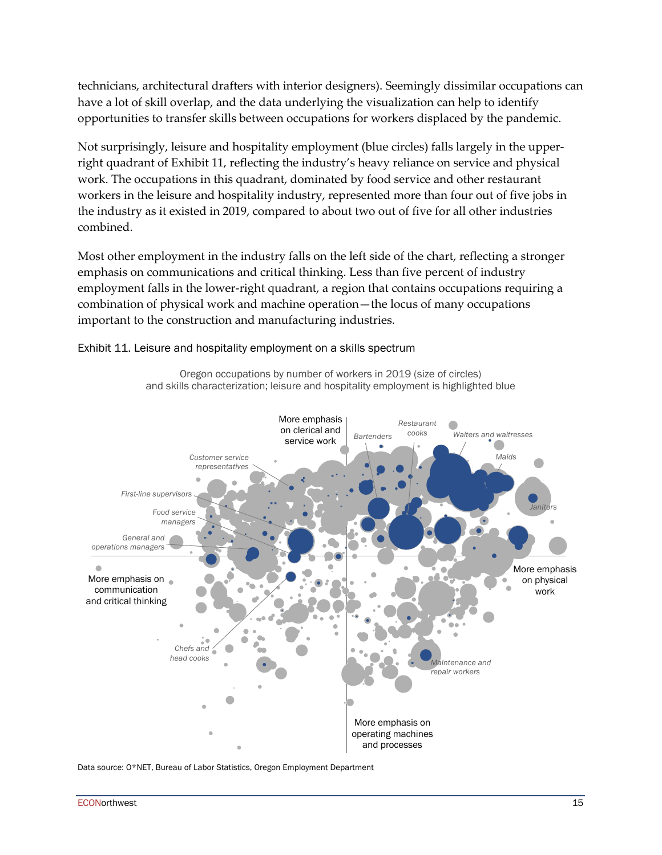technicians, architectural drafters with interior designers). Seemingly dissimilar occupations can have a lot of skill overlap, and the data underlying the visualization can help to identify opportunities to transfer skills between occupations for workers displaced by the pandemic.

Not surprisingly, leisure and hospitality employment (blue circles) falls largely in the upperright quadrant of Exhibit 11, reflecting the industry's heavy reliance on service and physical work. The occupations in this quadrant, dominated by food service and other restaurant workers in the leisure and hospitality industry, represented more than four out of five jobs in the industry as it existed in 2019, compared to about two out of five for all other industries combined.

Most other employment in the industry falls on the left side of the chart, reflecting a stronger emphasis on communications and critical thinking. Less than five percent of industry employment falls in the lower-right quadrant, a region that contains occupations requiring a combination of physical work and machine operation—the locus of many occupations important to the construction and manufacturing industries.

> Oregon occupations by number of workers in 2019 (size of circles) and skills characterization; leisure and hospitality employment is highlighted blue



Exhibit 11. Leisure and hospitality employment on a skills spectrum

Data source: O\*NET, Bureau of Labor Statistics, Oregon Employment Department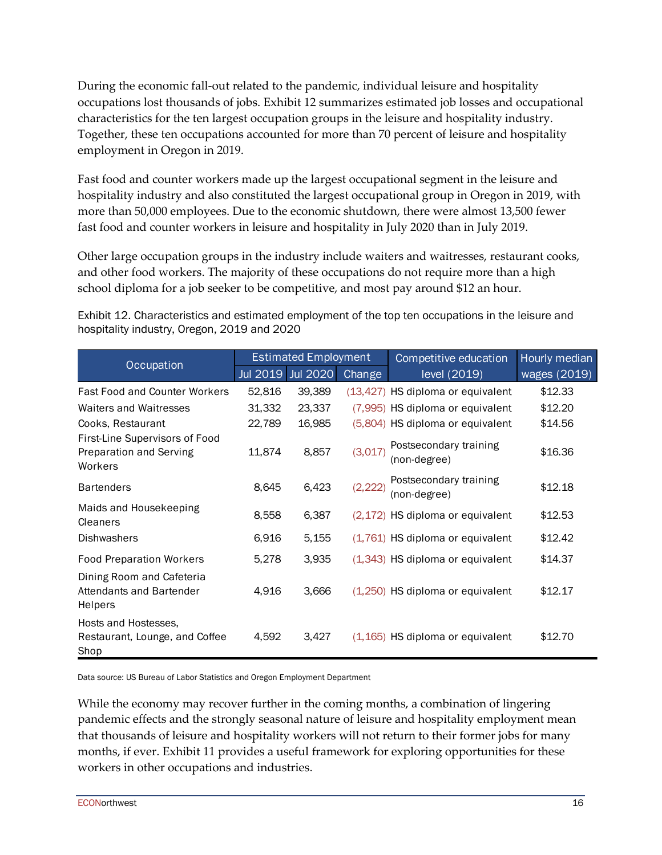During the economic fall-out related to the pandemic, individual leisure and hospitality occupations lost thousands of jobs. Exhibit 12 summarizes estimated job losses and occupational characteristics for the ten largest occupation groups in the leisure and hospitality industry. Together, these ten occupations accounted for more than 70 percent of leisure and hospitality employment in Oregon in 2019.

Fast food and counter workers made up the largest occupational segment in the leisure and hospitality industry and also constituted the largest occupational group in Oregon in 2019, with more than 50,000 employees. Due to the economic shutdown, there were almost 13,500 fewer fast food and counter workers in leisure and hospitality in July 2020 than in July 2019.

Other large occupation groups in the industry include waiters and waitresses, restaurant cooks, and other food workers. The majority of these occupations do not require more than a high school diploma for a job seeker to be competitive, and most pay around \$12 an hour.

Exhibit 12. Characteristics and estimated employment of the top ten occupations in the leisure and hospitality industry, Oregon, 2019 and 2020

| Occupation                                                           | <b>Estimated Employment</b> |                 |               | Competitive education                  | Hourly median |
|----------------------------------------------------------------------|-----------------------------|-----------------|---------------|----------------------------------------|---------------|
|                                                                      | Jul 2019                    | <b>Jul 2020</b> | <b>Change</b> | level (2019)                           | wages (2019)  |
| <b>Fast Food and Counter Workers</b>                                 | 52,816                      | 39,389          |               | (13,427) HS diploma or equivalent      | \$12.33       |
| <b>Waiters and Waitresses</b>                                        | 31,332                      | 23,337          |               | (7,995) HS diploma or equivalent       | \$12.20       |
| Cooks, Restaurant                                                    | 22,789                      | 16,985          |               | (5,804) HS diploma or equivalent       | \$14.56       |
| First-Line Supervisors of Food<br>Preparation and Serving<br>Workers | 11,874                      | 8,857           | (3,017)       | Postsecondary training<br>(non-degree) | \$16.36       |
| <b>Bartenders</b>                                                    | 8,645                       | 6,423           | (2, 222)      | Postsecondary training<br>(non-degree) | \$12.18       |
| Maids and Housekeeping<br>Cleaners                                   | 8,558                       | 6,387           |               | (2,172) HS diploma or equivalent       | \$12.53       |
| <b>Dishwashers</b>                                                   | 6,916                       | 5,155           |               | (1,761) HS diploma or equivalent       | \$12.42       |
| <b>Food Preparation Workers</b>                                      | 5,278                       | 3,935           |               | (1,343) HS diploma or equivalent       | \$14.37       |
| Dining Room and Cafeteria<br>Attendants and Bartender<br>Helpers     | 4,916                       | 3,666           |               | $(1,250)$ HS diploma or equivalent     | \$12.17       |
| Hosts and Hostesses.<br>Restaurant, Lounge, and Coffee<br>Shop       | 4,592                       | 3,427           |               | $(1,165)$ HS diploma or equivalent     | \$12.70       |

Data source: US Bureau of Labor Statistics and Oregon Employment Department

While the economy may recover further in the coming months, a combination of lingering pandemic effects and the strongly seasonal nature of leisure and hospitality employment mean that thousands of leisure and hospitality workers will not return to their former jobs for many months, if ever. Exhibit 11 provides a useful framework for exploring opportunities for these workers in other occupations and industries.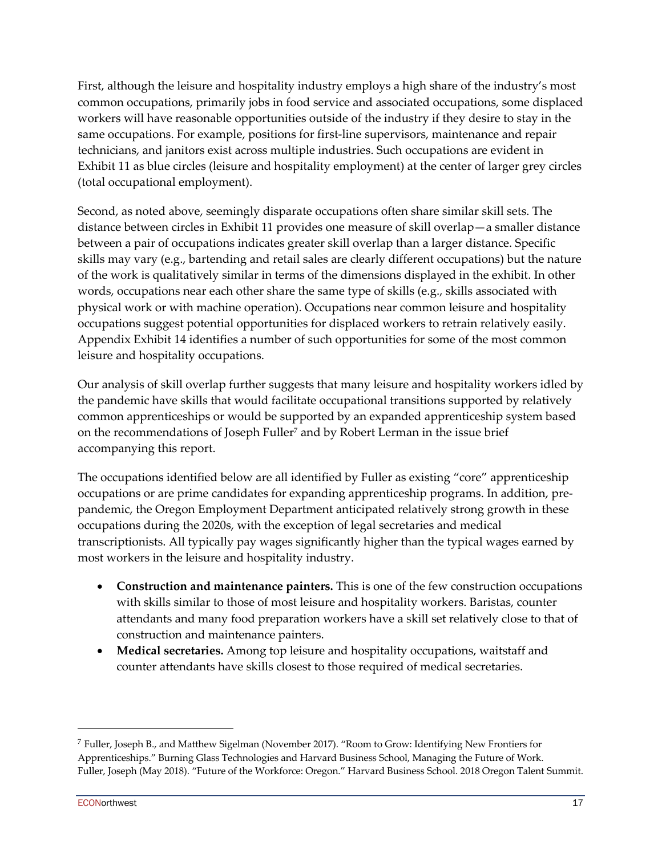First, although the leisure and hospitality industry employs a high share of the industry's most common occupations, primarily jobs in food service and associated occupations, some displaced workers will have reasonable opportunities outside of the industry if they desire to stay in the same occupations. For example, positions for first-line supervisors, maintenance and repair technicians, and janitors exist across multiple industries. Such occupations are evident in Exhibit 11 as blue circles (leisure and hospitality employment) at the center of larger grey circles (total occupational employment).

Second, as noted above, seemingly disparate occupations often share similar skill sets. The distance between circles in Exhibit 11 provides one measure of skill overlap—a smaller distance between a pair of occupations indicates greater skill overlap than a larger distance. Specific skills may vary (e.g., bartending and retail sales are clearly different occupations) but the nature of the work is qualitatively similar in terms of the dimensions displayed in the exhibit. In other words, occupations near each other share the same type of skills (e.g., skills associated with physical work or with machine operation). Occupations near common leisure and hospitality occupations suggest potential opportunities for displaced workers to retrain relatively easily. Appendix Exhibit 14 identifies a number of such opportunities for some of the most common leisure and hospitality occupations.

Our analysis of skill overlap further suggests that many leisure and hospitality workers idled by the pandemic have skills that would facilitate occupational transitions supported by relatively common apprenticeships or would be supported by an expanded apprenticeship system based on the recommendations of Joseph Fuller<sup>7</sup> and by Robert Lerman in the issue brief accompanying this report.

The occupations identified below are all identified by Fuller as existing "core" apprenticeship occupations or are prime candidates for expanding apprenticeship programs. In addition, prepandemic, the Oregon Employment Department anticipated relatively strong growth in these occupations during the 2020s, with the exception of legal secretaries and medical transcriptionists. All typically pay wages significantly higher than the typical wages earned by most workers in the leisure and hospitality industry.

- **Construction and maintenance painters.** This is one of the few construction occupations with skills similar to those of most leisure and hospitality workers. Baristas, counter attendants and many food preparation workers have a skill set relatively close to that of construction and maintenance painters.
- **Medical secretaries.** Among top leisure and hospitality occupations, waitstaff and counter attendants have skills closest to those required of medical secretaries.

<sup>7</sup> Fuller, Joseph B., and Matthew Sigelman (November 2017). "Room to Grow: Identifying New Frontiers for Apprenticeships." Burning Glass Technologies and Harvard Business School, Managing the Future of Work. Fuller, Joseph (May 2018). "Future of the Workforce: Oregon." Harvard Business School. 2018 Oregon Talent Summit.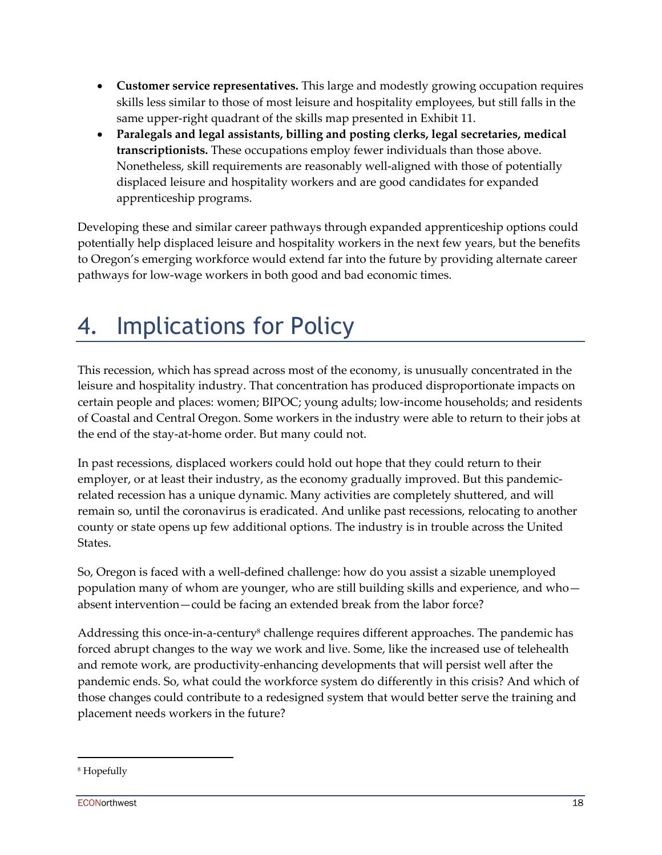- **Customer service representatives.** This large and modestly growing occupation requires skills less similar to those of most leisure and hospitality employees, but still falls in the same upper-right quadrant of the skills map presented in Exhibit 11.
- **Paralegals and legal assistants, billing and posting clerks, legal secretaries, medical transcriptionists.** These occupations employ fewer individuals than those above. Nonetheless, skill requirements are reasonably well-aligned with those of potentially displaced leisure and hospitality workers and are good candidates for expanded apprenticeship programs.

Developing these and similar career pathways through expanded apprenticeship options could potentially help displaced leisure and hospitality workers in the next few years, but the benefits to Oregon's emerging workforce would extend far into the future by providing alternate career pathways for low-wage workers in both good and bad economic times.

### 4. Implications for Policy

This recession, which has spread across most of the economy, is unusually concentrated in the leisure and hospitality industry. That concentration has produced disproportionate impacts on certain people and places: women; BIPOC; young adults; low-income households; and residents of Coastal and Central Oregon. Some workers in the industry were able to return to their jobs at the end of the stay-at-home order. But many could not.

In past recessions, displaced workers could hold out hope that they could return to their employer, or at least their industry, as the economy gradually improved. But this pandemicrelated recession has a unique dynamic. Many activities are completely shuttered, and will remain so, until the coronavirus is eradicated. And unlike past recessions, relocating to another county or state opens up few additional options. The industry is in trouble across the United States.

So, Oregon is faced with a well-defined challenge: how do you assist a sizable unemployed population many of whom are younger, who are still building skills and experience, and who absent intervention—could be facing an extended break from the labor force?

Addressing this once-in-a-century<sup>8</sup> challenge requires different approaches. The pandemic has forced abrupt changes to the way we work and live. Some, like the increased use of telehealth and remote work, are productivity-enhancing developments that will persist well after the pandemic ends. So, what could the workforce system do differently in this crisis? And which of those changes could contribute to a redesigned system that would better serve the training and placement needs workers in the future?

<sup>8</sup> Hopefully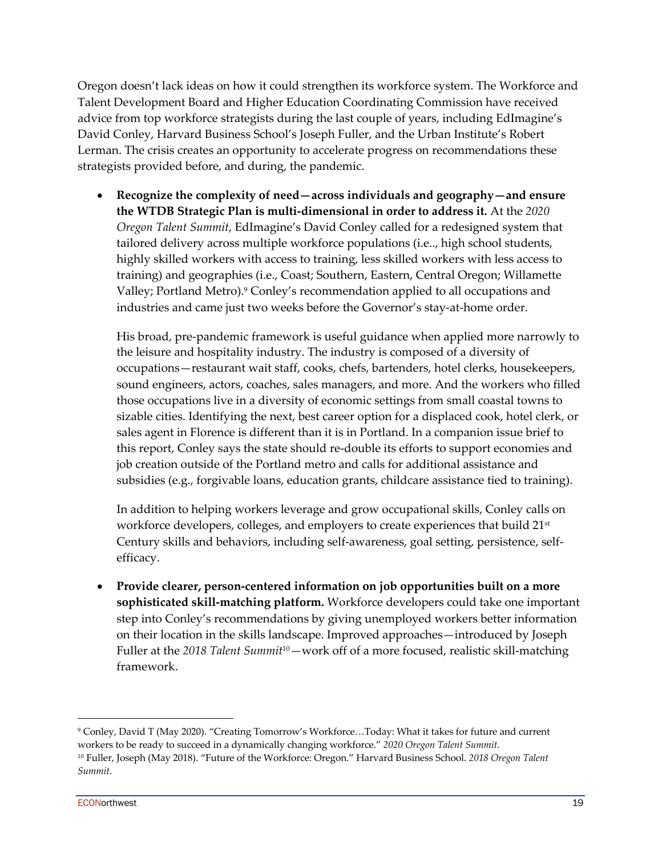Oregon doesn't lack ideas on how it could strengthen its workforce system. The Workforce and Talent Development Board and Higher Education Coordinating Commission have received advice from top workforce strategists during the last couple of years, including EdImagine's David Conley, Harvard Business School's Joseph Fuller, and the Urban Institute's Robert Lerman. The crisis creates an opportunity to accelerate progress on recommendations these strategists provided before, and during, the pandemic.

• **Recognize the complexity of need—across individuals and geography—and ensure the WTDB Strategic Plan is multi-dimensional in order to address it.** At the *2020 Oregon Talent Summit*, EdImagine's David Conley called for a redesigned system that tailored delivery across multiple workforce populations (i.e.., high school students, highly skilled workers with access to training, less skilled workers with less access to training) and geographies (i.e., Coast; Southern, Eastern, Central Oregon; Willamette Valley; Portland Metro).9 Conley's recommendation applied to all occupations and industries and came just two weeks before the Governor's stay-at-home order.

His broad, pre-pandemic framework is useful guidance when applied more narrowly to the leisure and hospitality industry. The industry is composed of a diversity of occupations—restaurant wait staff, cooks, chefs, bartenders, hotel clerks, housekeepers, sound engineers, actors, coaches, sales managers, and more. And the workers who filled those occupations live in a diversity of economic settings from small coastal towns to sizable cities. Identifying the next, best career option for a displaced cook, hotel clerk, or sales agent in Florence is different than it is in Portland. In a companion issue brief to this report, Conley says the state should re-double its efforts to support economies and job creation outside of the Portland metro and calls for additional assistance and subsidies (e.g., forgivable loans, education grants, childcare assistance tied to training).

In addition to helping workers leverage and grow occupational skills, Conley calls on workforce developers, colleges, and employers to create experiences that build 21<sup>st</sup> Century skills and behaviors, including self-awareness, goal setting, persistence, selfefficacy.

• **Provide clearer, person-centered information on job opportunities built on a more sophisticated skill-matching platform.** Workforce developers could take one important step into Conley's recommendations by giving unemployed workers better information on their location in the skills landscape. Improved approaches—introduced by Joseph Fuller at the *2018 Talent Summit*10—work off of a more focused, realistic skill-matching framework.

<sup>9</sup> Conley, David T (May 2020). "Creating Tomorrow's Workforce…Today: What it takes for future and current workers to be ready to succeed in a dynamically changing workforce." *2020 Oregon Talent Summit*. <sup>10</sup> Fuller, Joseph (May 2018). "Future of the Workforce: Oregon." Harvard Business School. *2018 Oregon Talent Summit*.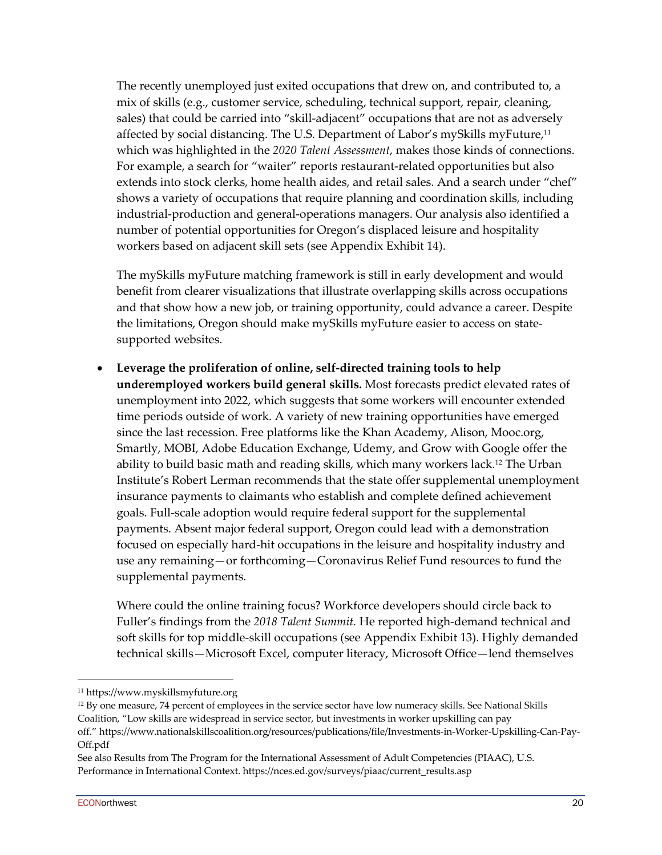The recently unemployed just exited occupations that drew on, and contributed to, a mix of skills (e.g., customer service, scheduling, technical support, repair, cleaning, sales) that could be carried into "skill-adjacent" occupations that are not as adversely affected by social distancing. The U.S. Department of Labor's mySkills myFuture,<sup>11</sup> which was highlighted in the *2020 Talent Assessment*, makes those kinds of connections. For example, a search for "waiter" reports restaurant-related opportunities but also extends into stock clerks, home health aides, and retail sales. And a search under "chef" shows a variety of occupations that require planning and coordination skills, including industrial-production and general-operations managers. Our analysis also identified a number of potential opportunities for Oregon's displaced leisure and hospitality workers based on adjacent skill sets (see Appendix Exhibit 14).

The mySkills myFuture matching framework is still in early development and would benefit from clearer visualizations that illustrate overlapping skills across occupations and that show how a new job, or training opportunity, could advance a career. Despite the limitations, Oregon should make mySkills myFuture easier to access on statesupported websites.

• **Leverage the proliferation of online, self-directed training tools to help underemployed workers build general skills.** Most forecasts predict elevated rates of unemployment into 2022, which suggests that some workers will encounter extended time periods outside of work. A variety of new training opportunities have emerged since the last recession. Free platforms like the Khan Academy, Alison, Mooc.org, Smartly, MOBI, Adobe Education Exchange, Udemy, and Grow with Google offer the ability to build basic math and reading skills, which many workers lack.12 The Urban Institute's Robert Lerman recommends that the state offer supplemental unemployment insurance payments to claimants who establish and complete defined achievement goals. Full-scale adoption would require federal support for the supplemental payments. Absent major federal support, Oregon could lead with a demonstration focused on especially hard-hit occupations in the leisure and hospitality industry and use any remaining—or forthcoming—Coronavirus Relief Fund resources to fund the supplemental payments.

Where could the online training focus? Workforce developers should circle back to Fuller's findings from the *2018 Talent Summit.* He reported high-demand technical and soft skills for top middle-skill occupations (see Appendix Exhibit 13). Highly demanded technical skills—Microsoft Excel, computer literacy, Microsoft Office—lend themselves

<sup>11</sup> https://www.myskillsmyfuture.org

<sup>12</sup> By one measure, 74 percent of employees in the service sector have low numeracy skills. See National Skills Coalition, "Low skills are widespread in service sector, but investments in worker upskilling can pay off." https://www.nationalskillscoalition.org/resources/publications/file/Investments-in-Worker-Upskilling-Can-Pay-Off.pdf

See also Results from The Program for the International Assessment of Adult Competencies (PIAAC), U.S. Performance in International Context. https://nces.ed.gov/surveys/piaac/current\_results.asp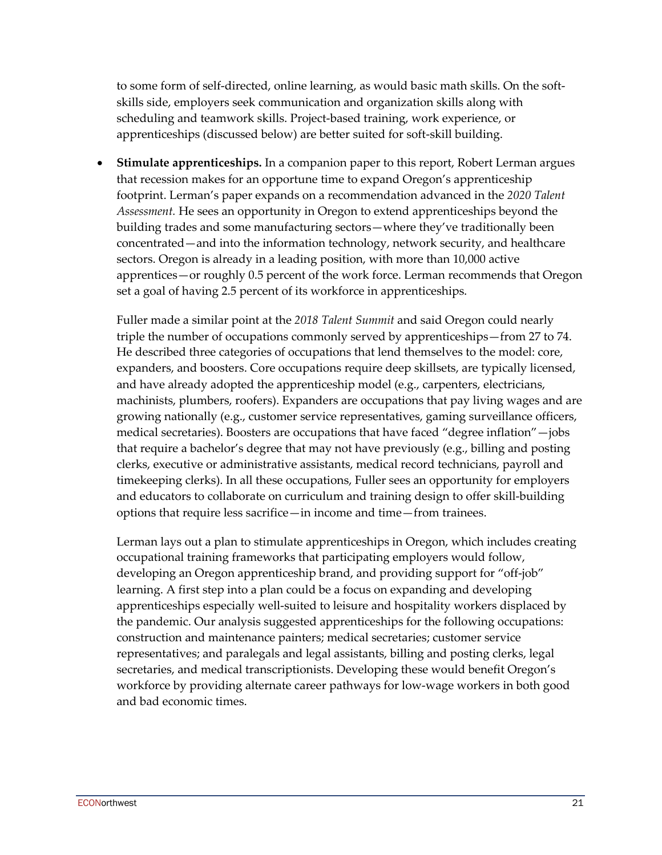to some form of self-directed, online learning, as would basic math skills. On the softskills side, employers seek communication and organization skills along with scheduling and teamwork skills. Project-based training, work experience, or apprenticeships (discussed below) are better suited for soft-skill building.

• **Stimulate apprenticeships.** In a companion paper to this report, Robert Lerman argues that recession makes for an opportune time to expand Oregon's apprenticeship footprint. Lerman's paper expands on a recommendation advanced in the *2020 Talent Assessment.* He sees an opportunity in Oregon to extend apprenticeships beyond the building trades and some manufacturing sectors—where they've traditionally been concentrated—and into the information technology, network security, and healthcare sectors. Oregon is already in a leading position, with more than 10,000 active apprentices—or roughly 0.5 percent of the work force. Lerman recommends that Oregon set a goal of having 2.5 percent of its workforce in apprenticeships.

Fuller made a similar point at the *2018 Talent Summit* and said Oregon could nearly triple the number of occupations commonly served by apprenticeships—from 27 to 74. He described three categories of occupations that lend themselves to the model: core, expanders, and boosters. Core occupations require deep skillsets, are typically licensed, and have already adopted the apprenticeship model (e.g., carpenters, electricians, machinists, plumbers, roofers). Expanders are occupations that pay living wages and are growing nationally (e.g., customer service representatives, gaming surveillance officers, medical secretaries). Boosters are occupations that have faced "degree inflation"—jobs that require a bachelor's degree that may not have previously (e.g., billing and posting clerks, executive or administrative assistants, medical record technicians, payroll and timekeeping clerks). In all these occupations, Fuller sees an opportunity for employers and educators to collaborate on curriculum and training design to offer skill-building options that require less sacrifice—in income and time—from trainees.

Lerman lays out a plan to stimulate apprenticeships in Oregon, which includes creating occupational training frameworks that participating employers would follow, developing an Oregon apprenticeship brand, and providing support for "off-job" learning. A first step into a plan could be a focus on expanding and developing apprenticeships especially well-suited to leisure and hospitality workers displaced by the pandemic. Our analysis suggested apprenticeships for the following occupations: construction and maintenance painters; medical secretaries; customer service representatives; and paralegals and legal assistants, billing and posting clerks, legal secretaries, and medical transcriptionists. Developing these would benefit Oregon's workforce by providing alternate career pathways for low-wage workers in both good and bad economic times.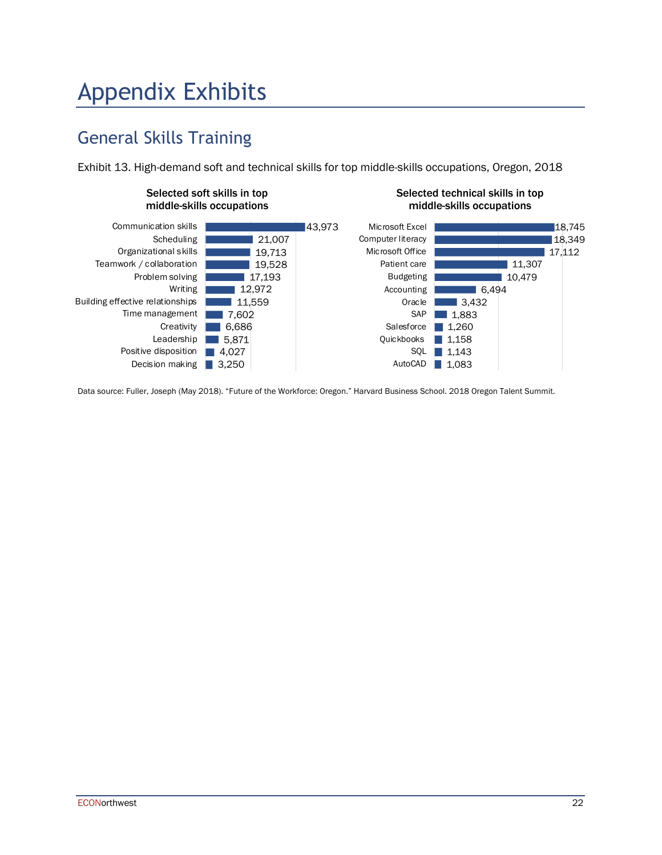## Appendix Exhibits

### General Skills Training

Exhibit 13. High-demand soft and technical skills for top middle-skills occupations, Oregon, 2018



Data source: Fuller, Joseph (May 2018). "Future of the Workforce: Oregon." Harvard Business School. 2018 Oregon Talent Summit.